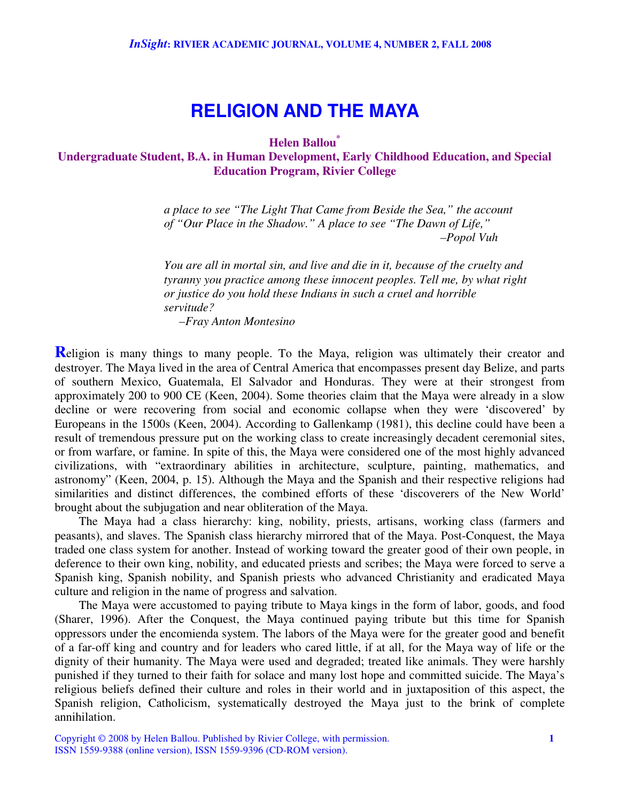## **RELIGION AND THE MAYA**

**Helen Ballou \***

**Undergraduate Student, B.A. in Human Development, Early Childhood Education, and Special Education Program, Rivier College**

> *a place to see "The Light That Came from Beside the Sea," the account of "Our Place in the Shadow." A place to see "The Dawn of Life," –Popol Vuh*

*You are all in mortal sin, and live and die in it, because of the cruelty and tyranny you practice among these innocent peoples. Tell me, by what right or justice do you hold these Indians in such a cruel and horrible servitude? –Fray Anton Montesino*

**Religion** is many things to many people. To the Maya, religion was ultimately their creator and destroyer. The Maya lived in the area of Central America that encompasses present day Belize, and parts of southern Mexico, Guatemala, El Salvador and Honduras. They were at their strongest from approximately 200 to 900 CE (Keen, 2004). Some theories claim that the Maya were already in a slow decline or were recovering from social and economic collapse when they were 'discovered' by Europeans in the 1500s (Keen, 2004). According to Gallenkamp (1981), this decline could have been a result of tremendous pressure put on the working class to create increasingly decadent ceremonial sites, or from warfare, or famine. In spite of this, the Maya were considered one of the most highly advanced civilizations, with "extraordinary abilities in architecture, sculpture, painting, mathematics, and astronomy" (Keen, 2004, p. 15). Although the Maya and the Spanish and their respective religions had similarities and distinct differences, the combined efforts of these 'discoverers of the New World' brought about the subjugation and near obliteration of the Maya.

The Maya had a class hierarchy: king, nobility, priests, artisans, working class (farmers and peasants), and slaves. The Spanish class hierarchy mirrored that of the Maya. Post-Conquest, the Maya traded one class system for another. Instead of working toward the greater good of their own people, in deference to their own king, nobility, and educated priests and scribes; the Maya were forced to serve a Spanish king, Spanish nobility, and Spanish priests who advanced Christianity and eradicated Maya culture and religion in the name of progress and salvation.

The Maya were accustomed to paying tribute to Maya kings in the form of labor, goods, and food (Sharer, 1996). After the Conquest, the Maya continued paying tribute but this time for Spanish oppressors under the encomienda system. The labors of the Maya were for the greater good and benefit of a far-off king and country and for leaders who cared little, if at all, for the Maya way of life or the dignity of their humanity. The Maya were used and degraded; treated like animals. They were harshly punished if they turned to their faith for solace and many lost hope and committed suicide. The Maya's religious beliefs defined their culture and roles in their world and in juxtaposition of this aspect, the Spanish religion, Catholicism, systematically destroyed the Maya just to the brink of complete annihilation.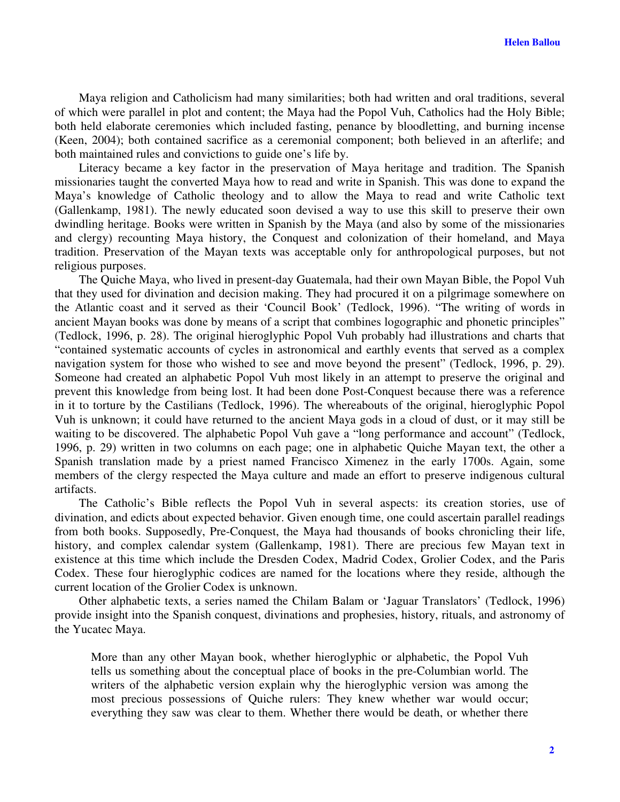Maya religion and Catholicism had many similarities; both had written and oral traditions, several of which were parallel in plot and content; the Maya had the Popol Vuh, Catholics had the Holy Bible; both held elaborate ceremonies which included fasting, penance by bloodletting, and burning incense (Keen, 2004); both contained sacrifice as a ceremonial component; both believed in an afterlife; and both maintained rules and convictions to guide one's life by.

Literacy became a key factor in the preservation of Maya heritage and tradition. The Spanish missionaries taught the converted Maya how to read and write in Spanish. This was done to expand the Maya's knowledge of Catholic theology and to allow the Maya to read and write Catholic text (Gallenkamp, 1981). The newly educated soon devised a way to use this skill to preserve their own dwindling heritage. Books were written in Spanish by the Maya (and also by some of the missionaries and clergy) recounting Maya history, the Conquest and colonization of their homeland, and Maya tradition. Preservation of the Mayan texts was acceptable only for anthropological purposes, but not religious purposes.

The Quiche Maya, who lived in present-day Guatemala, had their own Mayan Bible, the Popol Vuh that they used for divination and decision making. They had procured it on a pilgrimage somewhere on the Atlantic coast and it served as their 'Council Book' (Tedlock, 1996). "The writing of words in ancient Mayan books was done by means of a script that combines logographic and phonetic principles" (Tedlock, 1996, p. 28). The original hieroglyphic Popol Vuh probably had illustrations and charts that "contained systematic accounts of cycles in astronomical and earthly events that served as a complex navigation system for those who wished to see and move beyond the present" (Tedlock, 1996, p. 29). Someone had created an alphabetic Popol Vuh most likely in an attempt to preserve the original and prevent this knowledge from being lost. It had been done Post-Conquest because there was a reference in it to torture by the Castilians (Tedlock, 1996). The whereabouts of the original, hieroglyphic Popol Vuh is unknown; it could have returned to the ancient Maya gods in a cloud of dust, or it may still be waiting to be discovered. The alphabetic Popol Vuh gave a "long performance and account" (Tedlock, 1996, p. 29) written in two columns on each page; one in alphabetic Quiche Mayan text, the other a Spanish translation made by a priest named Francisco Ximenez in the early 1700s. Again, some members of the clergy respected the Maya culture and made an effort to preserve indigenous cultural artifacts.

The Catholic's Bible reflects the Popol Vuh in several aspects: its creation stories, use of divination, and edicts about expected behavior. Given enough time, one could ascertain parallel readings from both books. Supposedly, Pre-Conquest, the Maya had thousands of books chronicling their life, history, and complex calendar system (Gallenkamp, 1981). There are precious few Mayan text in existence at this time which include the Dresden Codex, Madrid Codex, Grolier Codex, and the Paris Codex. These four hieroglyphic codices are named for the locations where they reside, although the current location of the Grolier Codex is unknown.

Other alphabetic texts, a series named the Chilam Balam or 'Jaguar Translators' (Tedlock, 1996) provide insight into the Spanish conquest, divinations and prophesies, history, rituals, and astronomy of the Yucatec Maya.

More than any other Mayan book, whether hieroglyphic or alphabetic, the Popol Vuh tells us something about the conceptual place of books in the pre-Columbian world. The writers of the alphabetic version explain why the hieroglyphic version was among the most precious possessions of Quiche rulers: They knew whether war would occur; everything they saw was clear to them. Whether there would be death, or whether there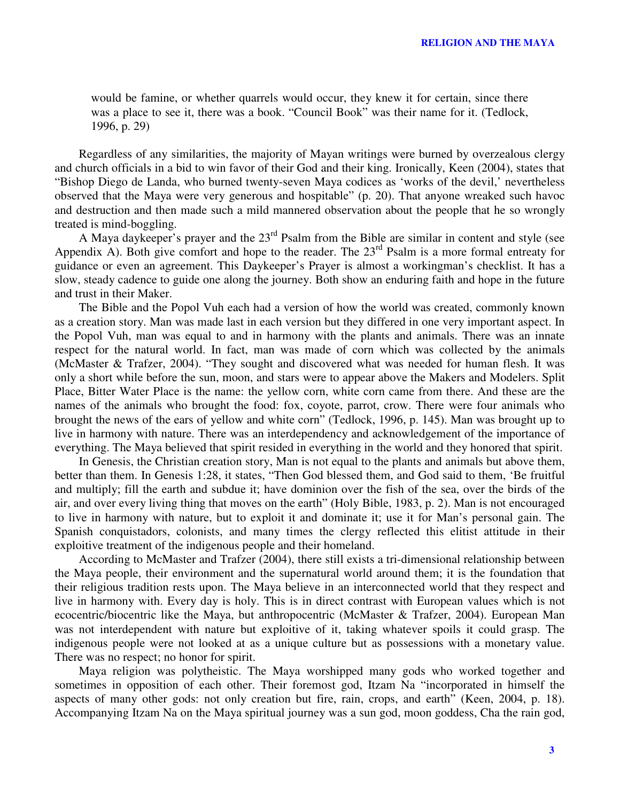would be famine, or whether quarrels would occur, they knew it for certain, since there was a place to see it, there was a book. "Council Book" was their name for it. (Tedlock, 1996, p. 29)

Regardless of any similarities, the majority of Mayan writings were burned by overzealous clergy and church officials in a bid to win favor of their God and their king. Ironically, Keen (2004), states that "Bishop Diego de Landa, who burned twenty-seven Maya codices as 'works of the devil,' nevertheless observed that the Maya were very generous and hospitable" (p. 20). That anyone wreaked such havoc and destruction and then made such a mild mannered observation about the people that he so wrongly treated is mind-boggling.

A Maya daykeeper's prayer and the 23<sup>rd</sup> Psalm from the Bible are similar in content and style (see Appendix A). Both give comfort and hope to the reader. The  $23<sup>rd</sup>$  Psalm is a more formal entreaty for guidance or even an agreement. This Daykeeper's Prayer is almost a workingman's checklist. It has a slow, steady cadence to guide one along the journey. Both show an enduring faith and hope in the future and trust in their Maker.

The Bible and the Popol Vuh each had a version of how the world was created, commonly known as a creation story. Man was made last in each version but they differed in one very important aspect. In the Popol Vuh, man was equal to and in harmony with the plants and animals. There was an innate respect for the natural world. In fact, man was made of corn which was collected by the animals (McMaster & Trafzer, 2004). "They sought and discovered what was needed for human flesh. It was only a short while before the sun, moon, and stars were to appear above the Makers and Modelers. Split Place, Bitter Water Place is the name: the yellow corn, white corn came from there. And these are the names of the animals who brought the food: fox, coyote, parrot, crow. There were four animals who brought the news of the ears of yellow and white corn" (Tedlock, 1996, p. 145). Man was brought up to live in harmony with nature. There was an interdependency and acknowledgement of the importance of everything. The Maya believed that spirit resided in everything in the world and they honored that spirit.

In Genesis, the Christian creation story, Man is not equal to the plants and animals but above them, better than them. In Genesis 1:28, it states, "Then God blessed them, and God said to them, 'Be fruitful and multiply; fill the earth and subdue it; have dominion over the fish of the sea, over the birds of the air, and over every living thing that moves on the earth" (Holy Bible, 1983, p. 2). Man is not encouraged to live in harmony with nature, but to exploit it and dominate it; use it for Man's personal gain. The Spanish conquistadors, colonists, and many times the clergy reflected this elitist attitude in their exploitive treatment of the indigenous people and their homeland.

According to McMaster and Trafzer (2004), there still exists a tri-dimensional relationship between the Maya people, their environment and the supernatural world around them; it is the foundation that their religious tradition rests upon. The Maya believe in an interconnected world that they respect and live in harmony with. Every day is holy. This is in direct contrast with European values which is not ecocentric/biocentric like the Maya, but anthropocentric (McMaster & Trafzer, 2004). European Man was not interdependent with nature but exploitive of it, taking whatever spoils it could grasp. The indigenous people were not looked at as a unique culture but as possessions with a monetary value. There was no respect; no honor for spirit.

Maya religion was polytheistic. The Maya worshipped many gods who worked together and sometimes in opposition of each other. Their foremost god, Itzam Na "incorporated in himself the aspects of many other gods: not only creation but fire, rain, crops, and earth" (Keen, 2004, p. 18). Accompanying Itzam Na on the Maya spiritual journey was a sun god, moon goddess, Cha the rain god,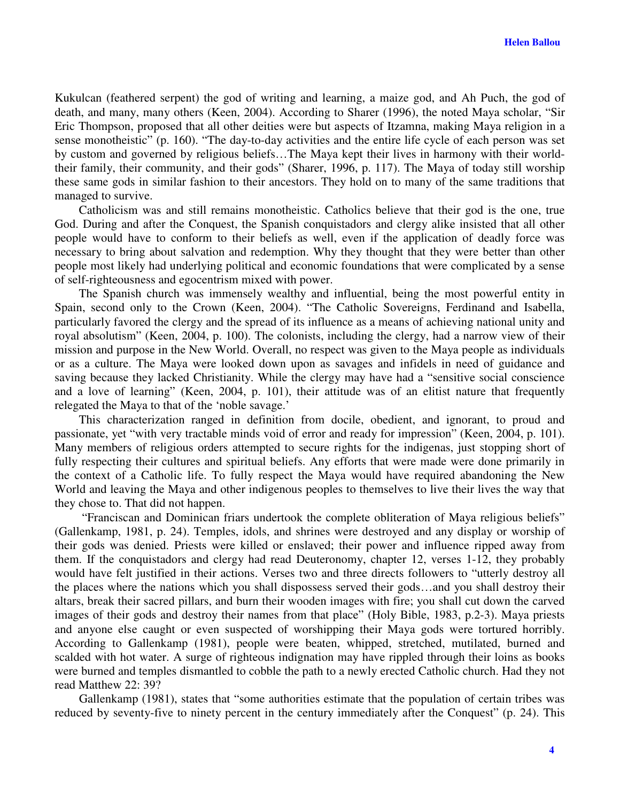Kukulcan (feathered serpent) the god of writing and learning, a maize god, and Ah Puch, the god of death, and many, many others (Keen, 2004). According to Sharer (1996), the noted Maya scholar, "Sir Eric Thompson, proposed that all other deities were but aspects of Itzamna, making Maya religion in a sense monotheistic" (p. 160). "The day-to-day activities and the entire life cycle of each person was set by custom and governed by religious beliefs…The Maya kept their lives in harmony with their worldtheir family, their community, and their gods" (Sharer, 1996, p. 117). The Maya of today still worship these same gods in similar fashion to their ancestors. They hold on to many of the same traditions that managed to survive.

Catholicism was and still remains monotheistic. Catholics believe that their god is the one, true God. During and after the Conquest, the Spanish conquistadors and clergy alike insisted that all other people would have to conform to their beliefs as well, even if the application of deadly force was necessary to bring about salvation and redemption. Why they thought that they were better than other people most likely had underlying political and economic foundations that were complicated by a sense of self-righteousness and egocentrism mixed with power.

The Spanish church was immensely wealthy and influential, being the most powerful entity in Spain, second only to the Crown (Keen, 2004). "The Catholic Sovereigns, Ferdinand and Isabella, particularly favored the clergy and the spread of its influence as a means of achieving national unity and royal absolutism" (Keen, 2004, p. 100). The colonists, including the clergy, had a narrow view of their mission and purpose in the New World. Overall, no respect was given to the Maya people as individuals or as a culture. The Maya were looked down upon as savages and infidels in need of guidance and saving because they lacked Christianity. While the clergy may have had a "sensitive social conscience and a love of learning" (Keen, 2004, p. 101), their attitude was of an elitist nature that frequently relegated the Maya to that of the 'noble savage.'

This characterization ranged in definition from docile, obedient, and ignorant, to proud and passionate, yet "with very tractable minds void of error and ready for impression" (Keen, 2004, p. 101). Many members of religious orders attempted to secure rights for the indigenas, just stopping short of fully respecting their cultures and spiritual beliefs. Any efforts that were made were done primarily in the context of a Catholic life. To fully respect the Maya would have required abandoning the New World and leaving the Maya and other indigenous peoples to themselves to live their lives the way that they chose to. That did not happen.

"Franciscan and Dominican friars undertook the complete obliteration of Maya religious beliefs" (Gallenkamp, 1981, p. 24). Temples, idols, and shrines were destroyed and any display or worship of their gods was denied. Priests were killed or enslaved; their power and influence ripped away from them. If the conquistadors and clergy had read Deuteronomy, chapter 12, verses 1-12, they probably would have felt justified in their actions. Verses two and three directs followers to "utterly destroy all the places where the nations which you shall dispossess served their gods…and you shall destroy their altars, break their sacred pillars, and burn their wooden images with fire; you shall cut down the carved images of their gods and destroy their names from that place" (Holy Bible, 1983, p.2-3). Maya priests and anyone else caught or even suspected of worshipping their Maya gods were tortured horribly. According to Gallenkamp (1981), people were beaten, whipped, stretched, mutilated, burned and scalded with hot water. A surge of righteous indignation may have rippled through their loins as books were burned and temples dismantled to cobble the path to a newly erected Catholic church. Had they not read Matthew 22: 39?

Gallenkamp (1981), states that "some authorities estimate that the population of certain tribes was reduced by seventy-five to ninety percent in the century immediately after the Conquest" (p. 24). This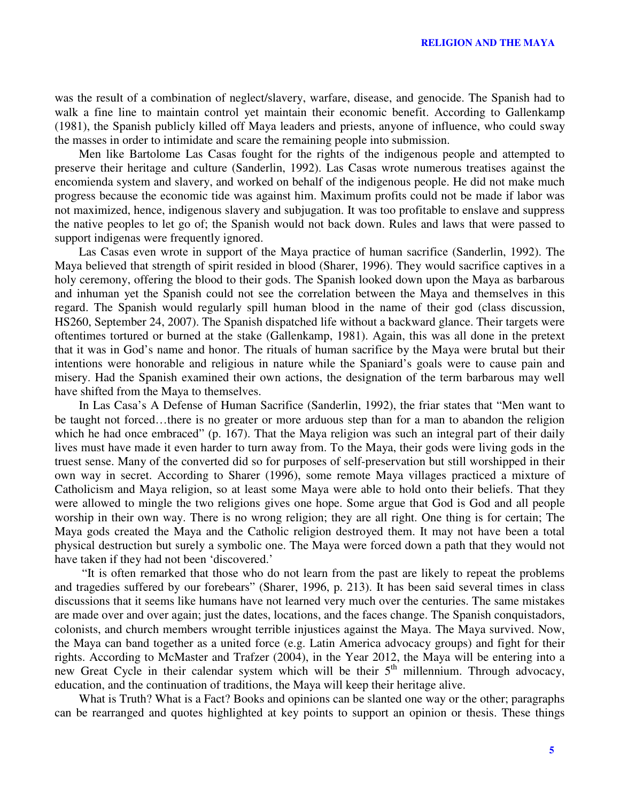was the result of a combination of neglect/slavery, warfare, disease, and genocide. The Spanish had to walk a fine line to maintain control yet maintain their economic benefit. According to Gallenkamp (1981), the Spanish publicly killed off Maya leaders and priests, anyone of influence, who could sway the masses in order to intimidate and scare the remaining people into submission.

Men like Bartolome Las Casas fought for the rights of the indigenous people and attempted to preserve their heritage and culture (Sanderlin, 1992). Las Casas wrote numerous treatises against the encomienda system and slavery, and worked on behalf of the indigenous people. He did not make much progress because the economic tide was against him. Maximum profits could not be made if labor was not maximized, hence, indigenous slavery and subjugation. It was too profitable to enslave and suppress the native peoples to let go of; the Spanish would not back down. Rules and laws that were passed to support indigenas were frequently ignored.

Las Casas even wrote in support of the Maya practice of human sacrifice (Sanderlin, 1992). The Maya believed that strength of spirit resided in blood (Sharer, 1996). They would sacrifice captives in a holy ceremony, offering the blood to their gods. The Spanish looked down upon the Maya as barbarous and inhuman yet the Spanish could not see the correlation between the Maya and themselves in this regard. The Spanish would regularly spill human blood in the name of their god (class discussion, HS260, September 24, 2007). The Spanish dispatched life without a backward glance. Their targets were oftentimes tortured or burned at the stake (Gallenkamp, 1981). Again, this was all done in the pretext that it was in God's name and honor. The rituals of human sacrifice by the Maya were brutal but their intentions were honorable and religious in nature while the Spaniard's goals were to cause pain and misery. Had the Spanish examined their own actions, the designation of the term barbarous may well have shifted from the Maya to themselves.

In Las Casa's A Defense of Human Sacrifice (Sanderlin, 1992), the friar states that "Men want to be taught not forced…there is no greater or more arduous step than for a man to abandon the religion which he had once embraced" (p. 167). That the Maya religion was such an integral part of their daily lives must have made it even harder to turn away from. To the Maya, their gods were living gods in the truest sense. Many of the converted did so for purposes of self-preservation but still worshipped in their own way in secret. According to Sharer (1996), some remote Maya villages practiced a mixture of Catholicism and Maya religion, so at least some Maya were able to hold onto their beliefs. That they were allowed to mingle the two religions gives one hope. Some argue that God is God and all people worship in their own way. There is no wrong religion; they are all right. One thing is for certain; The Maya gods created the Maya and the Catholic religion destroyed them. It may not have been a total physical destruction but surely a symbolic one. The Maya were forced down a path that they would not have taken if they had not been 'discovered.'

"It is often remarked that those who do not learn from the past are likely to repeat the problems and tragedies suffered by our forebears" (Sharer, 1996, p. 213). It has been said several times in class discussions that it seems like humans have not learned very much over the centuries. The same mistakes are made over and over again; just the dates, locations, and the faces change. The Spanish conquistadors, colonists, and church members wrought terrible injustices against the Maya. The Maya survived. Now, the Maya can band together as a united force (e.g. Latin America advocacy groups) and fight for their rights. According to McMaster and Trafzer (2004), in the Year 2012, the Maya will be entering into a new Great Cycle in their calendar system which will be their 5<sup>th</sup> millennium. Through advocacy, education, and the continuation of traditions, the Maya will keep their heritage alive.

What is Truth? What is a Fact? Books and opinions can be slanted one way or the other; paragraphs can be rearranged and quotes highlighted at key points to support an opinion or thesis. These things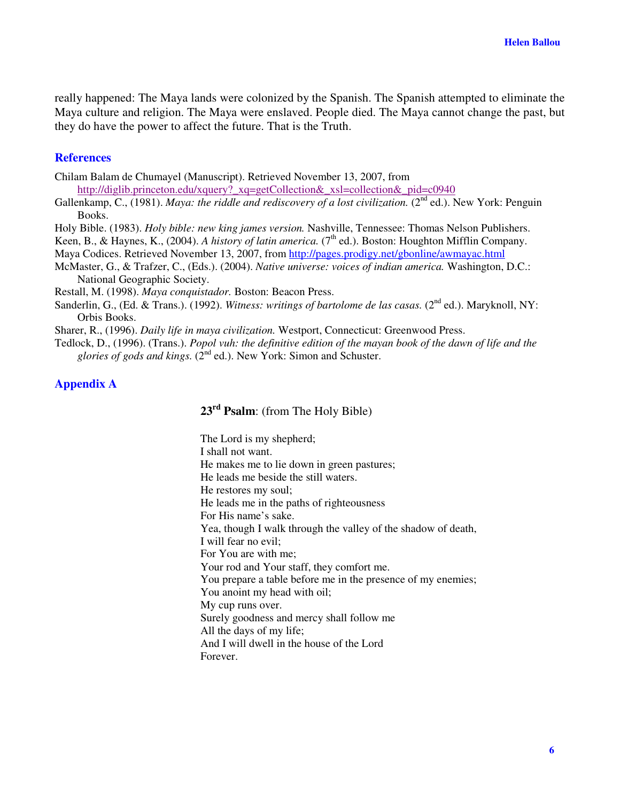really happened: The Maya lands were colonized by the Spanish. The Spanish attempted to eliminate the Maya culture and religion. The Maya were enslaved. People died. The Maya cannot change the past, but they do have the power to affect the future. That is the Truth.

## **References**

Chilam Balam de Chumayel (Manuscript). Retrieved November 13, 2007, from

http://diglib.princeton.edu/xquery?\_xq=getCollection&\_xsl=collection&\_pid=c0940

Gallenkamp, C., (1981). *Maya: the riddle and rediscovery of a lost civilization.* (2 nd ed.). New York: Penguin Books.

Holy Bible. (1983). *Holy bible: new king james version.* Nashville, Tennessee: Thomas Nelson Publishers.

Keen, B., & Haynes, K., (2004). *A history of latin america.* (7 th ed.). Boston: Houghton Mifflin Company.

Maya Codices. Retrieved November 13, 2007, from http://pages.prodigy.net/gbonline/awmayac.html

McMaster, G., & Trafzer, C., (Eds.). (2004). *Native universe: voices of indian america.* Washington, D.C.: National Geographic Society.

Restall, M. (1998). *Maya conquistador.* Boston: Beacon Press.

Sanderlin, G., (Ed. & Trans.). (1992). *Witness: writings of bartolome de las casas.* (2<sup>nd</sup> ed.). Maryknoll, NY: Orbis Books.

Sharer, R., (1996). *Daily life in maya civilization.* Westport, Connecticut: Greenwood Press.

Tedlock, D., (1996). (Trans.). *Popol vuh: the definitive edition of the mayan book of the dawn of life and the* glories of gods and kings. (2<sup>nd</sup> ed.). New York: Simon and Schuster.

## **Appendix A**

**23 rd Psalm**: (from The Holy Bible)

The Lord is my shepherd; I shall not want. He makes me to lie down in green pastures; He leads me beside the still waters. He restores my soul; He leads me in the paths of righteousness For His name's sake. Yea, though I walk through the valley of the shadow of death, I will fear no evil; For You are with me; Your rod and Your staff, they comfort me. You prepare a table before me in the presence of my enemies; You anoint my head with oil; My cup runs over. Surely goodness and mercy shall follow me All the days of my life; And I will dwell in the house of the Lord Forever.